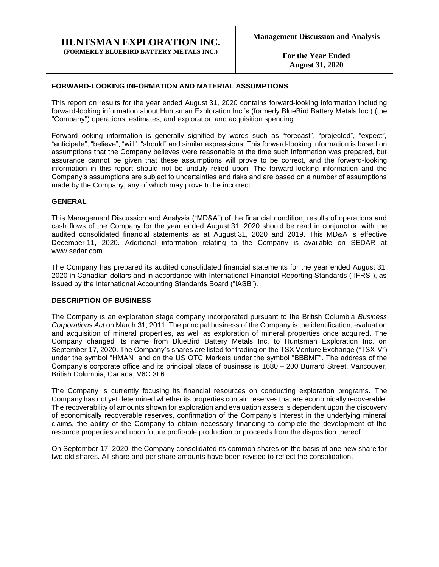#### **HUNTSMAN EXPLORATION INC. (FORMERLY BLUEBIRD BATTERY METALS INC.)**

**For the Year Ended August 31, 2020**

#### **FORWARD-LOOKING INFORMATION AND MATERIAL ASSUMPTIONS**

This report on results for the year ended August 31, 2020 contains forward-looking information including forward-looking information about Huntsman Exploration Inc.'s (formerly BlueBird Battery Metals Inc.) (the "Company") operations, estimates, and exploration and acquisition spending.

Forward-looking information is generally signified by words such as "forecast", "projected", "expect", "anticipate", "believe", "will", "should" and similar expressions. This forward-looking information is based on assumptions that the Company believes were reasonable at the time such information was prepared, but assurance cannot be given that these assumptions will prove to be correct, and the forward-looking information in this report should not be unduly relied upon. The forward-looking information and the Company's assumptions are subject to uncertainties and risks and are based on a number of assumptions made by the Company, any of which may prove to be incorrect.

#### **GENERAL**

This Management Discussion and Analysis ("MD&A") of the financial condition, results of operations and cash flows of the Company for the year ended August 31, 2020 should be read in conjunction with the audited consolidated financial statements as at August 31, 2020 and 2019. This MD&A is effective December 11, 2020. Additional information relating to the Company is available on SEDAR at www.sedar.com.

The Company has prepared its audited consolidated financial statements for the year ended August 31, 2020 in Canadian dollars and in accordance with International Financial Reporting Standards ("IFRS"), as issued by the International Accounting Standards Board ("IASB").

#### **DESCRIPTION OF BUSINESS**

The Company is an exploration stage company incorporated pursuant to the British Columbia *Business Corporations Act* on March 31, 2011. The principal business of the Company is the identification, evaluation and acquisition of mineral properties, as well as exploration of mineral properties once acquired. The Company changed its name from BlueBird Battery Metals Inc. to Huntsman Exploration Inc. on September 17, 2020. The Company's shares are listed for trading on the TSX Venture Exchange ("TSX-V") under the symbol "HMAN" and on the US OTC Markets under the symbol "BBBMF". The address of the Company's corporate office and its principal place of business is 1680 – 200 Burrard Street, Vancouver, British Columbia, Canada, V6C 3L6.

The Company is currently focusing its financial resources on conducting exploration programs. The Company has not yet determined whether its properties contain reserves that are economically recoverable. The recoverability of amounts shown for exploration and evaluation assets is dependent upon the discovery of economically recoverable reserves, confirmation of the Company's interest in the underlying mineral claims, the ability of the Company to obtain necessary financing to complete the development of the resource properties and upon future profitable production or proceeds from the disposition thereof.

On September 17, 2020, the Company consolidated its common shares on the basis of one new share for two old shares. All share and per share amounts have been revised to reflect the consolidation.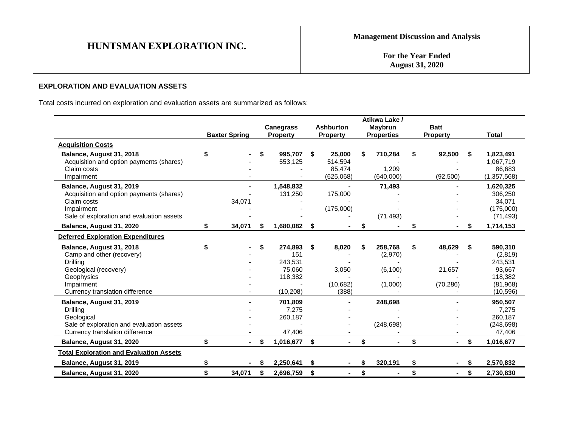**For the Year Ended August 31, 2020**

## **EXPLORATION AND EVALUATION ASSETS**

Total costs incurred on exploration and evaluation assets are summarized as follows:

|                                                |                      |     |                  |                      |    | Atikwa Lake /     |                      |    |             |
|------------------------------------------------|----------------------|-----|------------------|----------------------|----|-------------------|----------------------|----|-------------|
|                                                |                      |     | <b>Canegrass</b> | <b>Ashburton</b>     |    | <b>Maybrun</b>    | <b>Batt</b>          |    |             |
|                                                | <b>Baxter Spring</b> |     | <b>Property</b>  | <b>Property</b>      |    | <b>Properties</b> | <b>Property</b>      |    | Total       |
| <b>Acquisition Costs</b>                       |                      |     |                  |                      |    |                   |                      |    |             |
| Balance, August 31, 2018                       | \$                   | \$  | 995,707          | \$<br>25,000         | S  | 710,284           | \$<br>92,500         | \$ | 1,823,491   |
| Acquisition and option payments (shares)       |                      |     | 553,125          | 514,594              |    |                   |                      |    | 1,067,719   |
| Claim costs                                    |                      |     |                  | 85,474               |    | 1,209             |                      |    | 86,683      |
| Impairment                                     |                      |     |                  | (625,068)            |    | (640,000)         | (92, 500)            |    | (1,357,568) |
| Balance, August 31, 2019                       |                      |     | 1,548,832        |                      |    | 71,493            |                      |    | 1,620,325   |
| Acquisition and option payments (shares)       |                      |     | 131,250          | 175,000              |    |                   |                      |    | 306,250     |
| Claim costs                                    | 34,071               |     |                  |                      |    |                   |                      |    | 34,071      |
| Impairment                                     |                      |     |                  | (175,000)            |    |                   |                      |    | (175,000)   |
| Sale of exploration and evaluation assets      |                      |     |                  |                      |    | (71, 493)         |                      |    | (71, 493)   |
| Balance, August 31, 2020                       | \$<br>34,071         | \$. | 1,680,082        | \$                   | \$ |                   | \$                   | \$ | 1,714,153   |
| <b>Deferred Exploration Expenditures</b>       |                      |     |                  |                      |    |                   |                      |    |             |
| Balance, August 31, 2018                       | \$                   | \$  | 274,893          | \$<br>8,020          | S  | 258,768           | \$<br>48,629         | S  | 590,310     |
| Camp and other (recovery)                      |                      |     | 151              |                      |    | (2,970)           |                      |    | (2,819)     |
| Drilling                                       |                      |     | 243,531          |                      |    |                   |                      |    | 243,531     |
| Geological (recovery)                          |                      |     | 75,060           | 3,050                |    | (6, 100)          | 21,657               |    | 93,667      |
| Geophysics                                     |                      |     | 118,382          |                      |    |                   |                      |    | 118,382     |
| Impairment                                     |                      |     |                  | (10,682)             |    | (1,000)           | (70, 286)            |    | (81,968)    |
| Currency translation difference                |                      |     | (10, 208)        | (388)                |    |                   |                      |    | (10, 596)   |
| Balance, August 31, 2019                       |                      |     | 701,809          |                      |    | 248,698           |                      |    | 950,507     |
| Drilling                                       |                      |     | 7,275            |                      |    |                   |                      |    | 7,275       |
| Geological                                     |                      |     | 260,187          |                      |    |                   |                      |    | 260,187     |
| Sale of exploration and evaluation assets      |                      |     |                  |                      |    | (248, 698)        |                      |    | (248, 698)  |
| Currency translation difference                |                      |     | 47,406           |                      |    |                   |                      |    | 47,406      |
| Balance, August 31, 2020                       | \$                   | \$  | 1,016,677        | \$                   | \$ |                   | \$                   | \$ | 1,016,677   |
| <b>Total Exploration and Evaluation Assets</b> |                      |     |                  |                      |    |                   |                      |    |             |
| Balance, August 31, 2019                       | \$                   | S   | 2,250,641        | \$                   | \$ | 320,191           | \$                   | \$ | 2,570,832   |
| Balance, August 31, 2020                       | \$<br>34,071         | \$  | 2,696,759        | \$<br>$\blacksquare$ | \$ |                   | \$<br>$\blacksquare$ | \$ | 2,730,830   |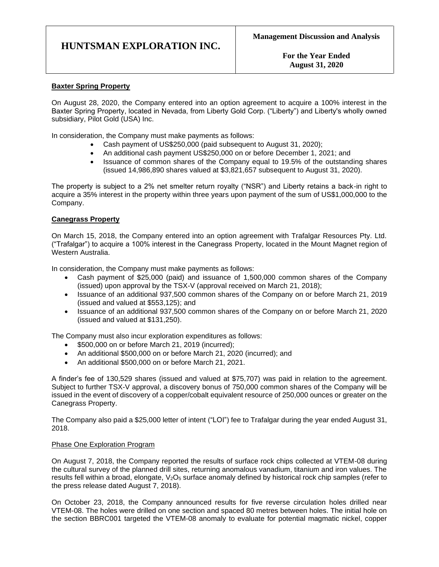**For the Year Ended August 31, 2020**

#### **Baxter Spring Property**

On August 28, 2020, the Company entered into an option agreement to acquire a 100% interest in the Baxter Spring Property, located in Nevada, from Liberty Gold Corp. ("Liberty") and Liberty's wholly owned subsidiary, Pilot Gold (USA) Inc.

In consideration, the Company must make payments as follows:

- Cash payment of US\$250,000 (paid subsequent to August 31, 2020);
- An additional cash payment US\$250,000 on or before December 1, 2021; and
- Issuance of common shares of the Company equal to 19.5% of the outstanding shares (issued 14,986,890 shares valued at \$3,821,657 subsequent to August 31, 2020).

The property is subject to a 2% net smelter return royalty ("NSR") and Liberty retains a back-in right to acquire a 35% interest in the property within three years upon payment of the sum of US\$1,000,000 to the Company.

#### **Canegrass Property**

On March 15, 2018, the Company entered into an option agreement with Trafalgar Resources Pty. Ltd. ("Trafalgar") to acquire a 100% interest in the Canegrass Property, located in the Mount Magnet region of Western Australia.

In consideration, the Company must make payments as follows:

- Cash payment of \$25,000 (paid) and issuance of 1,500,000 common shares of the Company (issued) upon approval by the TSX-V (approval received on March 21, 2018);
- Issuance of an additional 937,500 common shares of the Company on or before March 21, 2019 (issued and valued at \$553,125); and
- Issuance of an additional 937,500 common shares of the Company on or before March 21, 2020 (issued and valued at \$131,250).

The Company must also incur exploration expenditures as follows:

- \$500,000 on or before March 21, 2019 (incurred);
- An additional \$500,000 on or before March 21, 2020 (incurred); and
- An additional \$500,000 on or before March 21, 2021.

A finder's fee of 130,529 shares (issued and valued at \$75,707) was paid in relation to the agreement. Subject to further TSX-V approval, a discovery bonus of 750,000 common shares of the Company will be issued in the event of discovery of a copper/cobalt equivalent resource of 250,000 ounces or greater on the Canegrass Property.

The Company also paid a \$25,000 letter of intent ("LOI") fee to Trafalgar during the year ended August 31, 2018.

#### Phase One Exploration Program

On August 7, 2018, the Company reported the results of surface rock chips collected at VTEM-08 during the cultural survey of the planned drill sites, returning anomalous vanadium, titanium and iron values. The results fell within a broad, elongate, V<sub>2</sub>O<sub>5</sub> surface anomaly defined by historical rock chip samples (refer to the press release dated August 7, 2018).

On October 23, 2018, the Company announced results for five reverse circulation holes drilled near VTEM-08. The holes were drilled on one section and spaced 80 metres between holes. The initial hole on the section BBRC001 targeted the VTEM-08 anomaly to evaluate for potential magmatic nickel, copper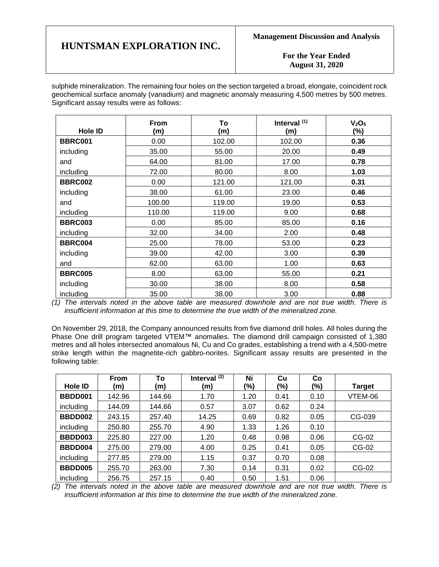**For the Year Ended August 31, 2020**

sulphide mineralization. The remaining four holes on the section targeted a broad, elongate, coincident rock geochemical surface anomaly (vanadium) and magnetic anomaly measuring 4,500 metres by 500 metres. Significant assay results were as follows:

| Hole ID        | From<br>(m) | To<br>(m) | Interval <sup>(1)</sup><br>(m) | V <sub>2</sub> O <sub>5</sub><br>(%) |
|----------------|-------------|-----------|--------------------------------|--------------------------------------|
| BBRC001        | 0.00        | 102.00    | 102.00                         | 0.36                                 |
| including      | 35.00       | 55.00     | 20.00                          | 0.49                                 |
| and            | 64.00       | 81.00     | 17.00                          | 0.78                                 |
| including      | 72.00       | 80.00     | 8.00                           | 1.03                                 |
| <b>BBRC002</b> | 0.00        | 121.00    | 121.00                         | 0.31                                 |
| including      | 38.00       | 61.00     | 23.00                          | 0.46                                 |
| and            | 100.00      | 119.00    | 19.00                          | 0.53                                 |
| including      | 110.00      | 119.00    | 9.00                           | 0.68                                 |
| <b>BBRC003</b> | 0.00        | 85.00     | 85.00                          | 0.16                                 |
| including      | 32.00       | 34.00     | 2.00                           | 0.48                                 |
| <b>BBRC004</b> | 25.00       | 78.00     | 53.00                          | 0.23                                 |
| including      | 39.00       | 42.00     | 3.00                           | 0.39                                 |
| and            | 62.00       | 63.00     | 1.00                           | 0.63                                 |
| <b>BBRC005</b> | 8.00        | 63.00     | 55.00                          | 0.21                                 |
| including      | 30.00       | 38.00     | 8.00                           | 0.58                                 |
| including      | 35.00       | 38.00     | 3.00                           | 0.88                                 |

*(1) The intervals noted in the above table are measured downhole and are not true width. There is insufficient information at this time to determine the true width of the mineralized zone.*

On November 29, 2018, the Company announced results from five diamond drill holes. All holes during the Phase One drill program targeted VTEM™ anomalies. The diamond drill campaign consisted of 1,380 metres and all holes intersected anomalous Ni, Cu and Co grades, establishing a trend with a 4,500-metre strike length within the magnetite-rich gabbro-norites. Significant assay results are presented in the following table:

|           | <b>From</b> | To     | Interval $(2)$ | Ni   | Cu   | Co   |               |
|-----------|-------------|--------|----------------|------|------|------|---------------|
| Hole ID   | (m)         | (m)    | (m)            | (%)  | (%)  | (%)  | <b>Target</b> |
| BBDD001   | 142.96      | 144.66 | 1.70           | 1.20 | 0.41 | 0.10 | VTEM-06       |
| including | 144.09      | 144.66 | 0.57           | 3.07 | 0.62 | 0.24 |               |
| BBDD002   | 243.15      | 257.40 | 14.25          | 0.69 | 0.82 | 0.05 | CG-039        |
| including | 250.80      | 255.70 | 4.90           | 1.33 | 1.26 | 0.10 |               |
| BBDD003   | 225.80      | 227.00 | 1.20           | 0.48 | 0.98 | 0.06 | CG-02         |
| BBDD004   | 275.00      | 279.00 | 4.00           | 0.25 | 0.41 | 0.05 | CG-02         |
| including | 277.85      | 279.00 | 1.15           | 0.37 | 0.70 | 0.08 |               |
| BBDD005   | 255.70      | 263.00 | 7.30           | 0.14 | 0.31 | 0.02 | CG-02         |
| including | 256.75      | 257.15 | 0.40           | 0.50 | 1.51 | 0.06 |               |

*(2) The intervals noted in the above table are measured downhole and are not true width. There is insufficient information at this time to determine the true width of the mineralized zone.*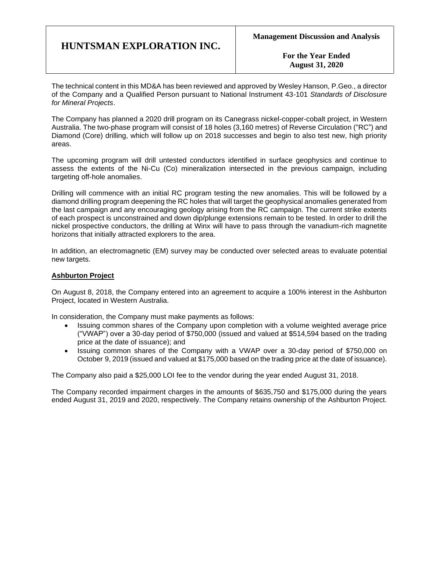**For the Year Ended August 31, 2020**

The technical content in this MD&A has been reviewed and approved by Wesley Hanson, P.Geo., a director of the Company and a Qualified Person pursuant to National Instrument 43-101 *Standards of Disclosure for Mineral Projects*.

The Company has planned a 2020 drill program on its Canegrass nickel-copper-cobalt project, in Western Australia. The two-phase program will consist of 18 holes (3,160 metres) of Reverse Circulation ("RC") and Diamond (Core) drilling, which will follow up on 2018 successes and begin to also test new, high priority areas.

The upcoming program will drill untested conductors identified in surface geophysics and continue to assess the extents of the Ni-Cu (Co) mineralization intersected in the previous campaign, including targeting off-hole anomalies.

Drilling will commence with an initial RC program testing the new anomalies. This will be followed by a diamond drilling program deepening the RC holes that will target the geophysical anomalies generated from the last campaign and any encouraging geology arising from the RC campaign. The current strike extents of each prospect is unconstrained and down dip/plunge extensions remain to be tested. In order to drill the nickel prospective conductors, the drilling at Winx will have to pass through the vanadium-rich magnetite horizons that initially attracted explorers to the area.

In addition, an electromagnetic (EM) survey may be conducted over selected areas to evaluate potential new targets.

#### **Ashburton Project**

On August 8, 2018, the Company entered into an agreement to acquire a 100% interest in the Ashburton Project, located in Western Australia.

In consideration, the Company must make payments as follows:

- Issuing common shares of the Company upon completion with a volume weighted average price ("VWAP") over a 30-day period of \$750,000 (issued and valued at \$514,594 based on the trading price at the date of issuance); and
- Issuing common shares of the Company with a VWAP over a 30-day period of \$750,000 on October 9, 2019 (issued and valued at \$175,000 based on the trading price at the date of issuance).

The Company also paid a \$25,000 LOI fee to the vendor during the year ended August 31, 2018.

The Company recorded impairment charges in the amounts of \$635,750 and \$175,000 during the years ended August 31, 2019 and 2020, respectively. The Company retains ownership of the Ashburton Project.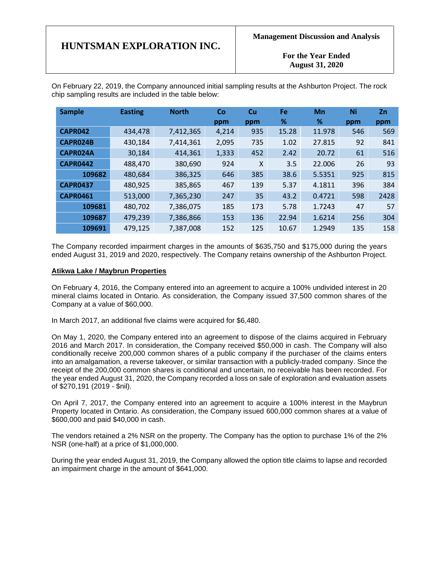**For the Year Ended August 31, 2020**

On February 22, 2019, the Company announced initial sampling results at the Ashburton Project. The rock chip sampling results are included in the table below:

| <b>Sample</b>   | <b>Easting</b> | <b>North</b> | <b>Co</b><br>ppm | Cu<br>ppm | Fe<br>℅ | Mn<br>% | Ni<br>ppm | Zn<br>ppm |
|-----------------|----------------|--------------|------------------|-----------|---------|---------|-----------|-----------|
| CAPR042         | 434,478        | 7,412,365    | 4,214            | 935       | 15.28   | 11.978  | 546       | 569       |
| CAPR024B        | 430,184        | 7,414,361    | 2,095            | 735       | 1.02    | 27.815  | 92        | 841       |
| CAPR024A        | 30,184         | 414,361      | 1,333            | 452       | 2.42    | 20.72   | 61        | 516       |
| <b>CAPR0442</b> | 488,470        | 380,690      | 924              | X         | 3.5     | 22.006  | 26        | 93        |
| 109682          | 480,684        | 386,325      | 646              | 385       | 38.6    | 5.5351  | 925       | 815       |
| <b>CAPR0437</b> | 480,925        | 385,865      | 467              | 139       | 5.37    | 4.1811  | 396       | 384       |
| <b>CAPR0461</b> | 513,000        | 7,365,230    | 247              | 35        | 43.2    | 0.4721  | 598       | 2428      |
| 109681          | 480,702        | 7,386,075    | 185              | 173       | 5.78    | 1.7243  | 47        | 57        |
| 109687          | 479,239        | 7,386,866    | 153              | 136       | 22.94   | 1.6214  | 256       | 304       |
| 109691          | 479,125        | 7,387,008    | 152              | 125       | 10.67   | 1.2949  | 135       | 158       |

The Company recorded impairment charges in the amounts of \$635,750 and \$175,000 during the years ended August 31, 2019 and 2020, respectively. The Company retains ownership of the Ashburton Project.

#### **Atikwa Lake / Maybrun Properties**

On February 4, 2016, the Company entered into an agreement to acquire a 100% undivided interest in 20 mineral claims located in Ontario. As consideration, the Company issued 37,500 common shares of the Company at a value of \$60,000.

In March 2017, an additional five claims were acquired for \$6,480.

On May 1, 2020, the Company entered into an agreement to dispose of the claims acquired in February 2016 and March 2017. In consideration, the Company received \$50,000 in cash. The Company will also conditionally receive 200,000 common shares of a public company if the purchaser of the claims enters into an amalgamation, a reverse takeover, or similar transaction with a publicly-traded company. Since the receipt of the 200,000 common shares is conditional and uncertain, no receivable has been recorded. For the year ended August 31, 2020, the Company recorded a loss on sale of exploration and evaluation assets of \$270,191 (2019 - \$nil).

On April 7, 2017, the Company entered into an agreement to acquire a 100% interest in the Maybrun Property located in Ontario. As consideration, the Company issued 600,000 common shares at a value of \$600,000 and paid \$40,000 in cash.

The vendors retained a 2% NSR on the property. The Company has the option to purchase 1% of the 2% NSR (one-half) at a price of \$1,000,000.

During the year ended August 31, 2019, the Company allowed the option title claims to lapse and recorded an impairment charge in the amount of \$641,000.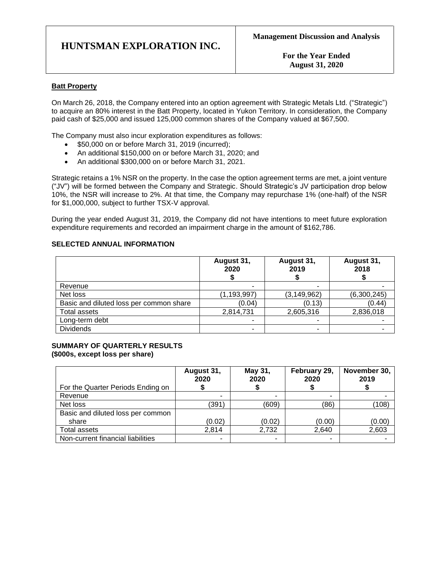**For the Year Ended August 31, 2020**

### **Batt Property**

On March 26, 2018, the Company entered into an option agreement with Strategic Metals Ltd. ("Strategic") to acquire an 80% interest in the Batt Property, located in Yukon Territory. In consideration, the Company paid cash of \$25,000 and issued 125,000 common shares of the Company valued at \$67,500.

The Company must also incur exploration expenditures as follows:

- \$50,000 on or before March 31, 2019 (incurred);
- An additional \$150,000 on or before March 31, 2020; and
- An additional \$300,000 on or before March 31, 2021.

Strategic retains a 1% NSR on the property. In the case the option agreement terms are met, a joint venture ("JV") will be formed between the Company and Strategic. Should Strategic's JV participation drop below 10%, the NSR will increase to 2%. At that time, the Company may repurchase 1% (one-half) of the NSR for \$1,000,000, subject to further TSX-V approval.

During the year ended August 31, 2019, the Company did not have intentions to meet future exploration expenditure requirements and recorded an impairment charge in the amount of \$162,786.

#### **SELECTED ANNUAL INFORMATION**

|                                         | August 31,<br>2020 | August 31,<br>2019 | August 31,<br>2018 |
|-----------------------------------------|--------------------|--------------------|--------------------|
| Revenue                                 |                    |                    |                    |
| Net loss                                | (1, 193, 997)      | (3, 149, 962)      | (6,300,245)        |
| Basic and diluted loss per common share | (0.04)             | (0.13)             | (0.44)             |
| Total assets                            | 2,814,731          | 2,605,316          | 2,836,018          |
| Long-term debt                          |                    |                    |                    |
| <b>Dividends</b>                        | -                  |                    |                    |

#### **SUMMARY OF QUARTERLY RESULTS (\$000s, except loss per share)**

|                                   | August 31,<br>2020 | May 31,<br>2020 | February 29,<br>2020 | November 30,<br>2019 |
|-----------------------------------|--------------------|-----------------|----------------------|----------------------|
| For the Quarter Periods Ending on |                    |                 |                      |                      |
| Revenue                           | ۰                  | -               |                      |                      |
| Net loss                          | (391)              | (609)           | (86)                 | (108)                |
| Basic and diluted loss per common |                    |                 |                      |                      |
| share                             | (0.02)             | (0.02)          | (0.00)               | (0.00)               |
| Total assets                      | 2.814              | 2,732           | 2,640                | 2,603                |
| Non-current financial liabilities | -                  |                 |                      |                      |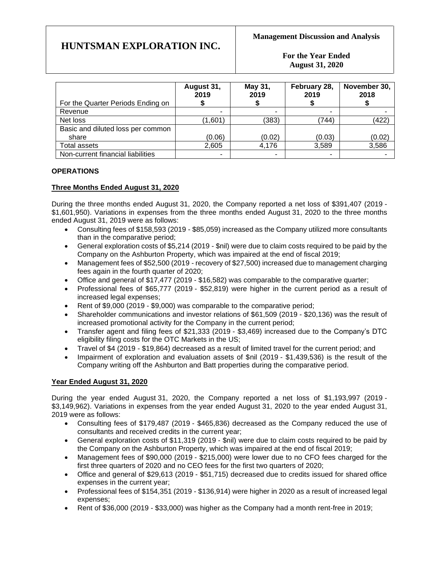**For the Year Ended August 31, 2020**

|                                   | August 31,<br>2019 | May 31,<br>2019 | February 28,<br>2019 | November 30,<br>2018 |
|-----------------------------------|--------------------|-----------------|----------------------|----------------------|
| For the Quarter Periods Ending on |                    |                 |                      |                      |
| Revenue                           | ۰                  |                 |                      |                      |
| Net loss                          | (1,601)            | (383)           | (744)                | (422)                |
| Basic and diluted loss per common |                    |                 |                      |                      |
| share                             | (0.06)             | (0.02)          | (0.03)               | (0.02)               |
| Total assets                      | 2,605              | 4.176           | 3,589                | 3,586                |
| Non-current financial liabilities | ٠                  | ٠               |                      |                      |

## **OPERATIONS**

## **Three Months Ended August 31, 2020**

During the three months ended August 31, 2020, the Company reported a net loss of \$391,407 (2019 - \$1,601,950). Variations in expenses from the three months ended August 31, 2020 to the three months ended August 31, 2019 were as follows:

- Consulting fees of \$158,593 (2019 \$85,059) increased as the Company utilized more consultants than in the comparative period;
- General exploration costs of \$5.214 (2019 \$nil) were due to claim costs required to be paid by the Company on the Ashburton Property, which was impaired at the end of fiscal 2019;
- Management fees of \$52,500 (2019 recovery of \$27,500) increased due to management charging fees again in the fourth quarter of 2020;
- Office and general of \$17,477 (2019 \$16,582) was comparable to the comparative quarter;
- Professional fees of \$65,777 (2019 \$52,819) were higher in the current period as a result of increased legal expenses;
- Rent of \$9,000 (2019 \$9,000) was comparable to the comparative period;
- Shareholder communications and investor relations of \$61,509 (2019 \$20,136) was the result of increased promotional activity for the Company in the current period;
- Transfer agent and filing fees of \$21,333 (2019 \$3,469) increased due to the Company's DTC eligibility filing costs for the OTC Markets in the US;
- Travel of \$4 (2019 \$19,864) decreased as a result of limited travel for the current period; and
- Impairment of exploration and evaluation assets of \$nil (2019 \$1,439,536) is the result of the Company writing off the Ashburton and Batt properties during the comparative period.

### **Year Ended August 31, 2020**

During the year ended August 31, 2020, the Company reported a net loss of \$1,193,997 (2019 - \$3,149,962). Variations in expenses from the year ended August 31, 2020 to the year ended August 31, 2019 were as follows:

- Consulting fees of \$179,487 (2019 \$465,836) decreased as the Company reduced the use of consultants and received credits in the current year;
- General exploration costs of \$11,319 (2019 \$nil) were due to claim costs required to be paid by the Company on the Ashburton Property, which was impaired at the end of fiscal 2019;
- Management fees of \$90,000 (2019 \$215,000) were lower due to no CFO fees charged for the first three quarters of 2020 and no CEO fees for the first two quarters of 2020;
- Office and general of \$29,613 (2019 \$51,715) decreased due to credits issued for shared office expenses in the current year;
- Professional fees of \$154,351 (2019 \$136,914) were higher in 2020 as a result of increased legal expenses;
- Rent of \$36,000 (2019 \$33,000) was higher as the Company had a month rent-free in 2019;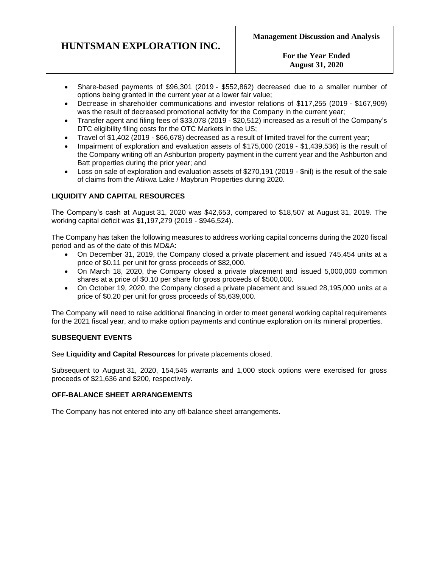### **For the Year Ended August 31, 2020**

- Share-based payments of \$96,301 (2019 \$552,862) decreased due to a smaller number of options being granted in the current year at a lower fair value;
- Decrease in shareholder communications and investor relations of \$117,255 (2019 \$167,909) was the result of decreased promotional activity for the Company in the current year;
- Transfer agent and filing fees of \$33,078 (2019 \$20,512) increased as a result of the Company's DTC eligibility filing costs for the OTC Markets in the US;
- Travel of \$1,402 (2019 \$66,678) decreased as a result of limited travel for the current year;
- Impairment of exploration and evaluation assets of \$175,000 (2019 \$1,439,536) is the result of the Company writing off an Ashburton property payment in the current year and the Ashburton and Batt properties during the prior year; and
- Loss on sale of exploration and evaluation assets of \$270,191 (2019 \$nil) is the result of the sale of claims from the Atikwa Lake / Maybrun Properties during 2020.

## **LIQUIDITY AND CAPITAL RESOURCES**

The Company's cash at August 31, 2020 was \$42,653, compared to \$18,507 at August 31, 2019. The working capital deficit was \$1,197,279 (2019 - \$946,524).

The Company has taken the following measures to address working capital concerns during the 2020 fiscal period and as of the date of this MD&A:

- On December 31, 2019, the Company closed a private placement and issued 745,454 units at a price of \$0.11 per unit for gross proceeds of \$82,000.
- On March 18, 2020, the Company closed a private placement and issued 5,000,000 common shares at a price of \$0.10 per share for gross proceeds of \$500,000.
- On October 19, 2020, the Company closed a private placement and issued 28,195,000 units at a price of \$0.20 per unit for gross proceeds of \$5,639,000.

The Company will need to raise additional financing in order to meet general working capital requirements for the 2021 fiscal year, and to make option payments and continue exploration on its mineral properties.

### **SUBSEQUENT EVENTS**

See **Liquidity and Capital Resources** for private placements closed.

Subsequent to August 31, 2020, 154,545 warrants and 1,000 stock options were exercised for gross proceeds of \$21,636 and \$200, respectively.

### **OFF-BALANCE SHEET ARRANGEMENTS**

The Company has not entered into any off-balance sheet arrangements.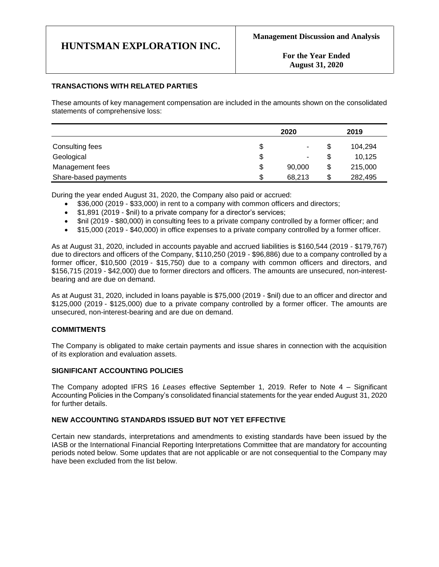**For the Year Ended August 31, 2020**

### **TRANSACTIONS WITH RELATED PARTIES**

These amounts of key management compensation are included in the amounts shown on the consolidated statements of comprehensive loss:

|                      | 2020         |    | 2019    |
|----------------------|--------------|----|---------|
| Consulting fees      | \$<br>۰      |    | 104.294 |
| Geological           | \$<br>۰      |    | 10,125  |
| Management fees      | \$<br>90,000 | \$ | 215,000 |
| Share-based payments | \$<br>68,213 | S  | 282,495 |

During the year ended August 31, 2020, the Company also paid or accrued:

- \$36,000 (2019 \$33,000) in rent to a company with common officers and directors;
- \$1,891 (2019 \$nil) to a private company for a director's services;
- \$nil (2019 \$80,000) in consulting fees to a private company controlled by a former officer; and
- \$15,000 (2019 \$40,000) in office expenses to a private company controlled by a former officer.

As at August 31, 2020, included in accounts payable and accrued liabilities is \$160,544 (2019 - \$179,767) due to directors and officers of the Company, \$110,250 (2019 - \$96,886) due to a company controlled by a former officer, \$10,500 (2019 - \$15,750) due to a company with common officers and directors, and \$156,715 (2019 - \$42,000) due to former directors and officers. The amounts are unsecured, non-interestbearing and are due on demand.

As at August 31, 2020, included in loans payable is \$75,000 (2019 - \$nil) due to an officer and director and \$125,000 (2019 - \$125,000) due to a private company controlled by a former officer. The amounts are unsecured, non-interest-bearing and are due on demand.

#### **COMMITMENTS**

The Company is obligated to make certain payments and issue shares in connection with the acquisition of its exploration and evaluation assets.

#### **SIGNIFICANT ACCOUNTING POLICIES**

The Company adopted IFRS 16 *Leases* effective September 1, 2019. Refer to Note 4 – Significant Accounting Policies in the Company's consolidated financial statements for the year ended August 31, 2020 for further details.

#### **NEW ACCOUNTING STANDARDS ISSUED BUT NOT YET EFFECTIVE**

Certain new standards, interpretations and amendments to existing standards have been issued by the IASB or the International Financial Reporting Interpretations Committee that are mandatory for accounting periods noted below. Some updates that are not applicable or are not consequential to the Company may have been excluded from the list below.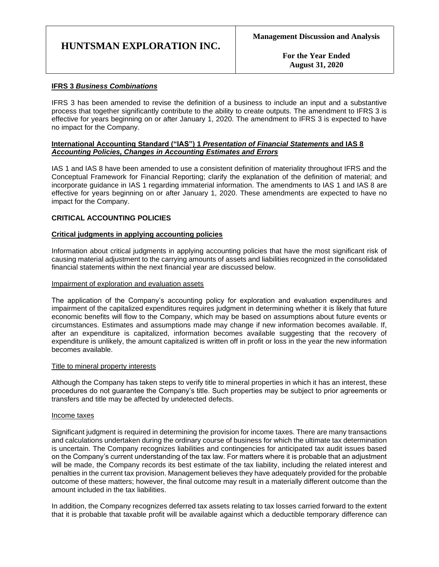**For the Year Ended August 31, 2020**

#### **IFRS 3** *Business Combinations*

IFRS 3 has been amended to revise the definition of a business to include an input and a substantive process that together significantly contribute to the ability to create outputs. The amendment to IFRS 3 is effective for years beginning on or after January 1, 2020. The amendment to IFRS 3 is expected to have no impact for the Company.

#### **International Accounting Standard ("IAS") 1** *Presentation of Financial Statements* **and IAS 8**  *Accounting Policies, Changes in Accounting Estimates and Errors*

IAS 1 and IAS 8 have been amended to use a consistent definition of materiality throughout IFRS and the Conceptual Framework for Financial Reporting; clarify the explanation of the definition of material; and incorporate guidance in IAS 1 regarding immaterial information. The amendments to IAS 1 and IAS 8 are effective for years beginning on or after January 1, 2020. These amendments are expected to have no impact for the Company.

#### **CRITICAL ACCOUNTING POLICIES**

#### **Critical judgments in applying accounting policies**

Information about critical judgments in applying accounting policies that have the most significant risk of causing material adjustment to the carrying amounts of assets and liabilities recognized in the consolidated financial statements within the next financial year are discussed below.

#### Impairment of exploration and evaluation assets

The application of the Company's accounting policy for exploration and evaluation expenditures and impairment of the capitalized expenditures requires judgment in determining whether it is likely that future economic benefits will flow to the Company, which may be based on assumptions about future events or circumstances. Estimates and assumptions made may change if new information becomes available. If, after an expenditure is capitalized, information becomes available suggesting that the recovery of expenditure is unlikely, the amount capitalized is written off in profit or loss in the year the new information becomes available.

#### Title to mineral property interests

Although the Company has taken steps to verify title to mineral properties in which it has an interest, these procedures do not guarantee the Company's title. Such properties may be subject to prior agreements or transfers and title may be affected by undetected defects.

#### Income taxes

Significant judgment is required in determining the provision for income taxes. There are many transactions and calculations undertaken during the ordinary course of business for which the ultimate tax determination is uncertain. The Company recognizes liabilities and contingencies for anticipated tax audit issues based on the Company's current understanding of the tax law. For matters where it is probable that an adjustment will be made, the Company records its best estimate of the tax liability, including the related interest and penalties in the current tax provision. Management believes they have adequately provided for the probable outcome of these matters; however, the final outcome may result in a materially different outcome than the amount included in the tax liabilities.

In addition, the Company recognizes deferred tax assets relating to tax losses carried forward to the extent that it is probable that taxable profit will be available against which a deductible temporary difference can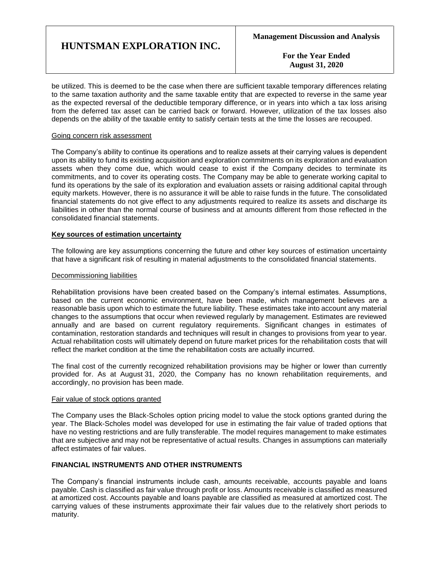**For the Year Ended August 31, 2020**

be utilized. This is deemed to be the case when there are sufficient taxable temporary differences relating to the same taxation authority and the same taxable entity that are expected to reverse in the same year as the expected reversal of the deductible temporary difference, or in years into which a tax loss arising from the deferred tax asset can be carried back or forward. However, utilization of the tax losses also depends on the ability of the taxable entity to satisfy certain tests at the time the losses are recouped.

#### Going concern risk assessment

The Company's ability to continue its operations and to realize assets at their carrying values is dependent upon its ability to fund its existing acquisition and exploration commitments on its exploration and evaluation assets when they come due, which would cease to exist if the Company decides to terminate its commitments, and to cover its operating costs. The Company may be able to generate working capital to fund its operations by the sale of its exploration and evaluation assets or raising additional capital through equity markets. However, there is no assurance it will be able to raise funds in the future. The consolidated financial statements do not give effect to any adjustments required to realize its assets and discharge its liabilities in other than the normal course of business and at amounts different from those reflected in the consolidated financial statements.

#### **Key sources of estimation uncertainty**

The following are key assumptions concerning the future and other key sources of estimation uncertainty that have a significant risk of resulting in material adjustments to the consolidated financial statements.

#### Decommissioning liabilities

Rehabilitation provisions have been created based on the Company's internal estimates. Assumptions, based on the current economic environment, have been made, which management believes are a reasonable basis upon which to estimate the future liability. These estimates take into account any material changes to the assumptions that occur when reviewed regularly by management. Estimates are reviewed annually and are based on current regulatory requirements. Significant changes in estimates of contamination, restoration standards and techniques will result in changes to provisions from year to year. Actual rehabilitation costs will ultimately depend on future market prices for the rehabilitation costs that will reflect the market condition at the time the rehabilitation costs are actually incurred.

The final cost of the currently recognized rehabilitation provisions may be higher or lower than currently provided for. As at August 31, 2020, the Company has no known rehabilitation requirements, and accordingly, no provision has been made.

#### Fair value of stock options granted

The Company uses the Black-Scholes option pricing model to value the stock options granted during the year. The Black-Scholes model was developed for use in estimating the fair value of traded options that have no vesting restrictions and are fully transferable. The model requires management to make estimates that are subjective and may not be representative of actual results. Changes in assumptions can materially affect estimates of fair values.

#### **FINANCIAL INSTRUMENTS AND OTHER INSTRUMENTS**

The Company's financial instruments include cash, amounts receivable, accounts payable and loans payable. Cash is classified as fair value through profit or loss. Amounts receivable is classified as measured at amortized cost. Accounts payable and loans payable are classified as measured at amortized cost. The carrying values of these instruments approximate their fair values due to the relatively short periods to maturity.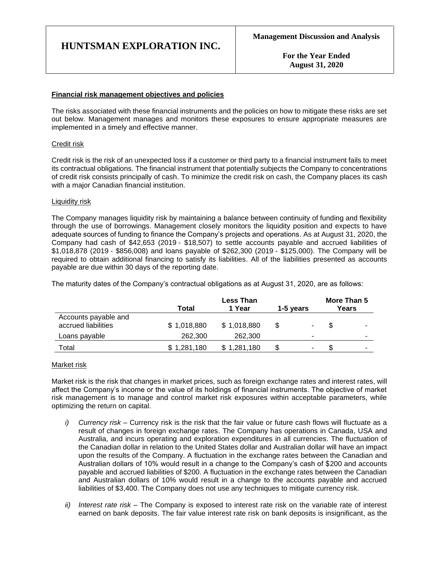**For the Year Ended August 31, 2020**

#### **Financial risk management objectives and policies**

The risks associated with these financial instruments and the policies on how to mitigate these risks are set out below. Management manages and monitors these exposures to ensure appropriate measures are implemented in a timely and effective manner.

#### Credit risk

Credit risk is the risk of an unexpected loss if a customer or third party to a financial instrument fails to meet its contractual obligations. The financial instrument that potentially subjects the Company to concentrations of credit risk consists principally of cash. To minimize the credit risk on cash, the Company places its cash with a major Canadian financial institution.

#### Liquidity risk

The Company manages liquidity risk by maintaining a balance between continuity of funding and flexibility through the use of borrowings. Management closely monitors the liquidity position and expects to have adequate sources of funding to finance the Company's projects and operations. As at August 31, 2020, the Company had cash of \$42,653 (2019 - \$18,507) to settle accounts payable and accrued liabilities of \$1,018,878 (2019 - \$856,008) and loans payable of \$262,300 (2019 - \$125,000). The Company will be required to obtain additional financing to satisfy its liabilities. All of the liabilities presented as accounts payable are due within 30 days of the reporting date.

The maturity dates of the Company's contractual obligations as at August 31, 2020, are as follows:

|                                             | <b>Less Than</b> |             |           |    |       | More Than 5 |
|---------------------------------------------|------------------|-------------|-----------|----|-------|-------------|
|                                             | Total            | 1 Year      | 1-5 years |    | Years |             |
| Accounts payable and<br>accrued liabilities | \$1,018,880      | \$1,018,880 | S         | ۰. | -S    |             |
| Loans payable                               | 262,300          | 262,300     |           | ۰  |       |             |
| Total                                       | \$1,281,180      | \$1,281,180 |           | ۰  |       |             |

#### Market risk

Market risk is the risk that changes in market prices, such as foreign exchange rates and interest rates, will affect the Company's income or the value of its holdings of financial instruments. The objective of market risk management is to manage and control market risk exposures within acceptable parameters, while optimizing the return on capital.

- *i) Currency risk –* Currency risk is the risk that the fair value or future cash flows will fluctuate as a result of changes in foreign exchange rates. The Company has operations in Canada, USA and Australia, and incurs operating and exploration expenditures in all currencies. The fluctuation of the Canadian dollar in relation to the United States dollar and Australian dollar will have an impact upon the results of the Company. A fluctuation in the exchange rates between the Canadian and Australian dollars of 10% would result in a change to the Company's cash of \$200 and accounts payable and accrued liabilities of \$200. A fluctuation in the exchange rates between the Canadian and Australian dollars of 10% would result in a change to the accounts payable and accrued liabilities of \$3,400. The Company does not use any techniques to mitigate currency risk.
- *ii) Interest rate risk –* The Company is exposed to interest rate risk on the variable rate of interest earned on bank deposits. The fair value interest rate risk on bank deposits is insignificant, as the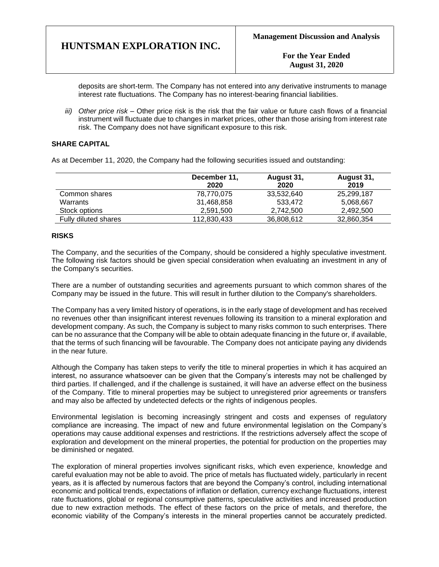**For the Year Ended August 31, 2020**

deposits are short-term. The Company has not entered into any derivative instruments to manage interest rate fluctuations. The Company has no interest-bearing financial liabilities.

*iii) Other price risk –* Other price risk is the risk that the fair value or future cash flows of a financial instrument will fluctuate due to changes in market prices, other than those arising from interest rate risk. The Company does not have significant exposure to this risk.

### **SHARE CAPITAL**

As at December 11, 2020, the Company had the following securities issued and outstanding:

|                      | December 11,<br>2020 | August 31,<br>2020 | August 31,<br>2019 |
|----------------------|----------------------|--------------------|--------------------|
| Common shares        | 78,770,075           | 33,532,640         | 25,299,187         |
| Warrants             | 31,468,858           | 533.472            | 5,068,667          |
| Stock options        | 2,591,500            | 2.742.500          | 2,492,500          |
| Fully diluted shares | 112,830,433          | 36,808,612         | 32,860,354         |

#### **RISKS**

The Company, and the securities of the Company, should be considered a highly speculative investment. The following risk factors should be given special consideration when evaluating an investment in any of the Company's securities.

There are a number of outstanding securities and agreements pursuant to which common shares of the Company may be issued in the future. This will result in further dilution to the Company's shareholders.

The Company has a very limited history of operations, is in the early stage of development and has received no revenues other than insignificant interest revenues following its transition to a mineral exploration and development company. As such, the Company is subject to many risks common to such enterprises. There can be no assurance that the Company will be able to obtain adequate financing in the future or, if available, that the terms of such financing will be favourable. The Company does not anticipate paying any dividends in the near future.

Although the Company has taken steps to verify the title to mineral properties in which it has acquired an interest, no assurance whatsoever can be given that the Company's interests may not be challenged by third parties. If challenged, and if the challenge is sustained, it will have an adverse effect on the business of the Company. Title to mineral properties may be subject to unregistered prior agreements or transfers and may also be affected by undetected defects or the rights of indigenous peoples.

Environmental legislation is becoming increasingly stringent and costs and expenses of regulatory compliance are increasing. The impact of new and future environmental legislation on the Company's operations may cause additional expenses and restrictions. If the restrictions adversely affect the scope of exploration and development on the mineral properties, the potential for production on the properties may be diminished or negated.

The exploration of mineral properties involves significant risks, which even experience, knowledge and careful evaluation may not be able to avoid. The price of metals has fluctuated widely, particularly in recent years, as it is affected by numerous factors that are beyond the Company's control, including international economic and political trends, expectations of inflation or deflation, currency exchange fluctuations, interest rate fluctuations, global or regional consumptive patterns, speculative activities and increased production due to new extraction methods. The effect of these factors on the price of metals, and therefore, the economic viability of the Company's interests in the mineral properties cannot be accurately predicted.